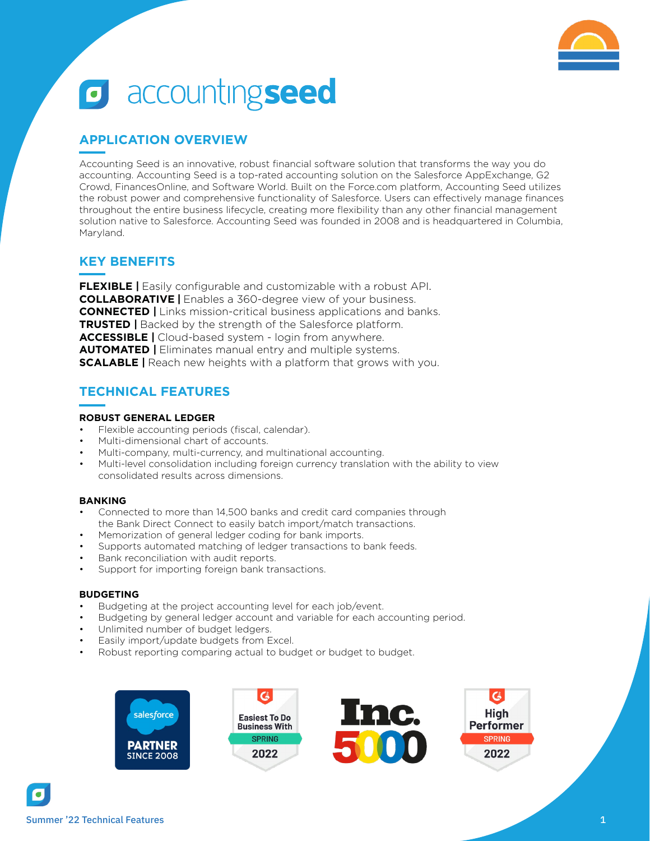

# **o** accountingseed

## **APPLICATION OVERVIEW**

Accounting Seed is an innovative, robust financial software solution that transforms the way you do accounting. Accounting Seed is a top-rated accounting solution on the Salesforce AppExchange, G2 Crowd, FinancesOnline, and Software World. Built on the Force.com platform, Accounting Seed utilizes the robust power and comprehensive functionality of Salesforce. Users can effectively manage finances throughout the entire business lifecycle, creating more flexibility than any other financial management solution native to Salesforce. Accounting Seed was founded in 2008 and is headquartered in Columbia, Maryland.

## **KEY BENEFITS**

**FLEXIBLE |** Easily configurable and customizable with a robust API. **COLLABORATIVE |** Enables a 360-degree view of your business. **CONNECTED |** Links mission-critical business applications and banks. **TRUSTED |** Backed by the strength of the Salesforce platform. **ACCESSIBLE |** Cloud-based system - login from anywhere. **AUTOMATED |** Eliminates manual entry and multiple systems. **SCALABLE |** Reach new heights with a platform that grows with you.

## **TECHNICAL FEATURES**

#### **ROBUST GENERAL LEDGER**

- Flexible accounting periods (fiscal, calendar).
- Multi-dimensional chart of accounts.
- Multi-company, multi-currency, and multinational accounting.
- Multi-level consolidation including foreign currency translation with the ability to view consolidated results across dimensions.

#### **BANKING**

- Connected to more than 14,500 banks and credit card companies through the Bank Direct Connect to easily batch import/match transactions.
- Memorization of general ledger coding for bank imports.
- Supports automated matching of ledger transactions to bank feeds.
- Bank reconciliation with audit reports.
- Support for importing foreign bank transactions.

#### **BUDGETING**

- Budgeting at the project accounting level for each job/event.
- Budgeting by general ledger account and variable for each accounting period.
- Unlimited number of budget ledgers.
- Easily import/update budgets from Excel.
- Robust reporting comparing actual to budget or budget to budget.

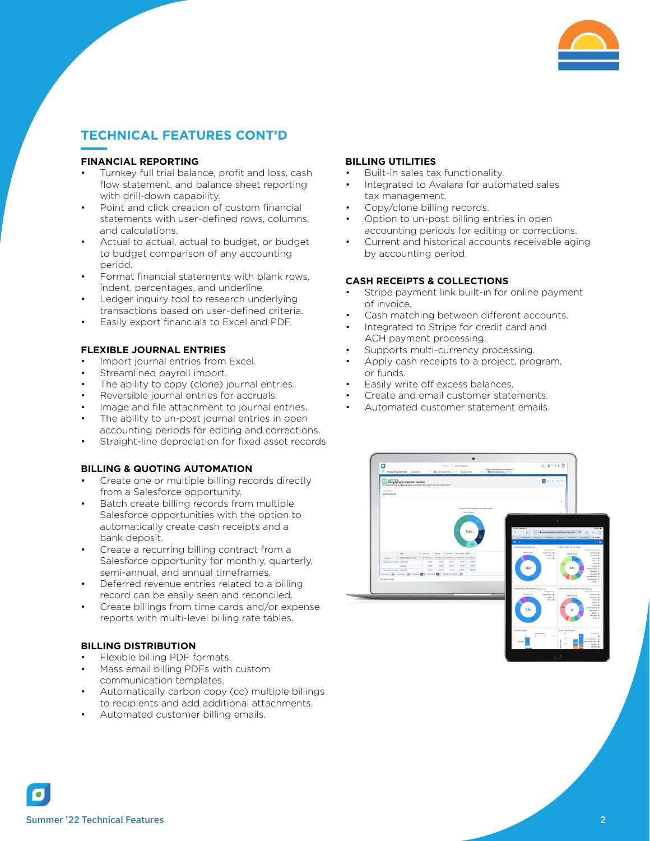

## **TECHNICAL FEATURES CONT'D**

#### **FINANCIAL REPORTING**

- Turnkey full trial balance, profit and loss, cash flow statement, and balance sheet reporting with drill-down capability.
- Point and click creation of custom financial statements with user-defined rows, columns, and calculations.
- Actual to actual, actual to budget, or budget to budget comparison of any accounting period.
- Format financial statements with blank rows, indent, percentages, and underline.
- Ledger inquiry tool to research underlying transactions based on user-defined criteria.
- Easily export financials to Excel and PDF.

#### **FLEXIBLE JOURNAL ENTRIES**

- Import journal entries from Excel.
- Streamlined payroll import.
- The ability to copy (clone) journal entries.
- Reversible journal entries for accruals.
- Image and file attachment to journal entries.
- The ability to un-post journal entries in open accounting periods for editing and corrections.
- Straight-line depreciation for fixed asset records

#### **BILLING & QUOTING AUTOMATION**

- Create one or multiple billing records directly from a Salesforce opportunity.
- Batch create billing records from multiple Salesforce opportunities with the option to automatically create cash receipts and a bank deposit.
- Create a recurring billing contract from a Salesforce opportunity for monthly, quarterly, semi-annual, and annual timeframes.
- Deferred revenue entries related to a billing record can be easily seen and reconciled.
- Create billings from time cards and/or expense reports with multi-level billing rate tables.

#### **BILLING DISTRIBUTION**

- Flexible billing PDF formats.
- Mass email billing PDFs with custom communication templates.
- Automatically carbon copy (cc) multiple billings to recipients and add additional attachments.
- Automated customer billing emails.

#### **BILLING UTILITIES**

- Built-in sales tax functionality.
- Integrated to Avalara for automated sales tax management.
- Copy/clone billing records.
- Option to un-post billing entries in open accounting periods for editing or corrections.
- Current and historical accounts receivable aging by accounting period.

#### **CASH RECEIPTS & COLLECTIONS**

- Stripe payment link built-in for online payment of invoice.
- Cash matching between different accounts.
- Integrated to Stripe for credit card and ACH payment processing.
- Supports multi-currency processing.
- Apply cash receipts to a project, program, or funds.
- Easily write off excess balances.
- Create and email customer statements.
- Automated customer statement emails.

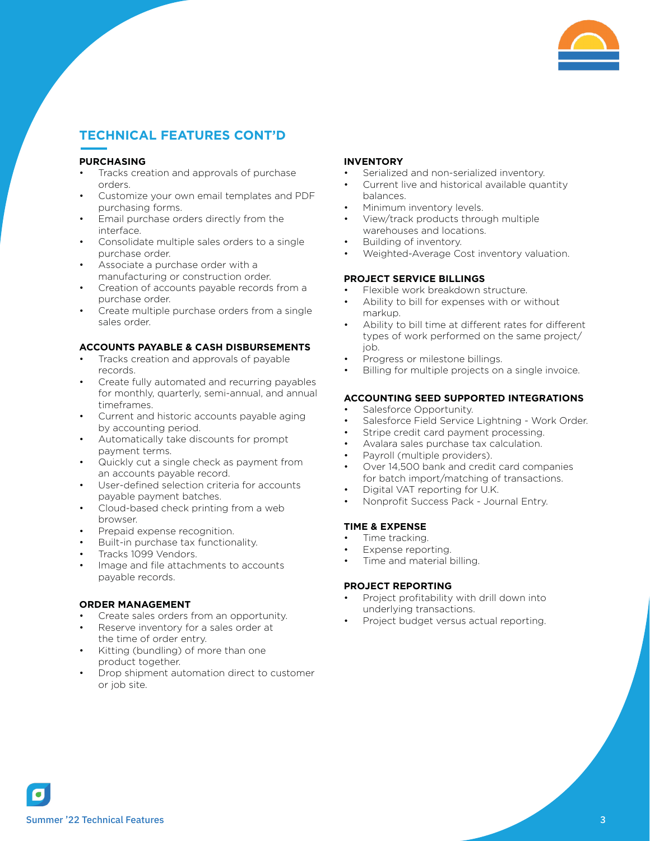

# **TECHNICAL FEATURES CONT'D**

#### **PURCHASING**

- Tracks creation and approvals of purchase orders.
- Customize your own email templates and PDF purchasing forms.
- Email purchase orders directly from the interface.
- Consolidate multiple sales orders to a single purchase order.
- Associate a purchase order with a manufacturing or construction order.
- Creation of accounts payable records from a purchase order.
- Create multiple purchase orders from a single sales order.

#### **ACCOUNTS PAYABLE & CASH DISBURSEMENTS**

- Tracks creation and approvals of payable records.
- Create fully automated and recurring payables for monthly, quarterly, semi-annual, and annual timeframes.
- Current and historic accounts payable aging by accounting period.
- Automatically take discounts for prompt payment terms.
- Quickly cut a single check as payment from an accounts payable record.
- User-defined selection criteria for accounts payable payment batches.
- Cloud-based check printing from a web browser.
- Prepaid expense recognition.
- Built-in purchase tax functionality.
- Tracks 1099 Vendors.
- Image and file attachments to accounts payable records.

#### **ORDER MANAGEMENT**

- Create sales orders from an opportunity.
- Reserve inventory for a sales order at the time of order entry.
- Kitting (bundling) of more than one product together.
- Drop shipment automation direct to customer or job site.

#### **INVENTORY**

- Serialized and non-serialized inventory.
- Current live and historical available quantity balances.
- Minimum inventory levels.
- View/track products through multiple warehouses and locations.
- Building of inventory.
- Weighted-Average Cost inventory valuation.

#### **PROJECT SERVICE BILLINGS**

- Flexible work breakdown structure.
- Ability to bill for expenses with or without markup.
- Ability to bill time at different rates for different types of work performed on the same project/ job.
- Progress or milestone billings.
- Billing for multiple projects on a single invoice.

#### **ACCOUNTING SEED SUPPORTED INTEGRATIONS**

- Salesforce Opportunity.
- Salesforce Field Service Lightning Work Order.
- Stripe credit card payment processing.
- Avalara sales purchase tax calculation.
- Payroll (multiple providers).
- Over 14,500 bank and credit card companies for batch import/matching of transactions.
- Digital VAT reporting for U.K.
- Nonprofit Success Pack Journal Entry.

#### **TIME & EXPENSE**

- Time tracking.
- Expense reporting.
- Time and material billing.

#### **PROJECT REPORTING**

- Project profitability with drill down into underlying transactions.
- Project budget versus actual reporting.